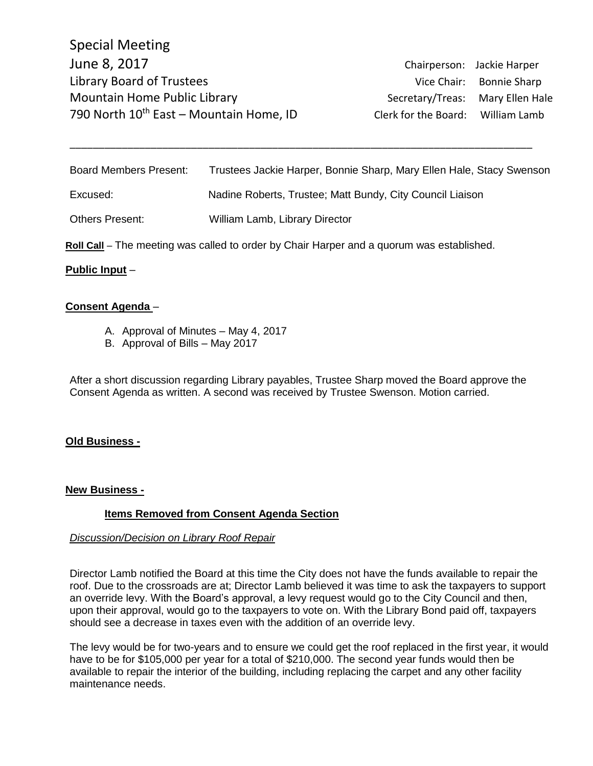Special Meeting June 8, 2017 Chairperson: Jackie Harper Library Board of Trustees Vice Chair: Bonnie Sharp Mountain Home Public Library **Secretary/Treas:** Mary Ellen Hale 790 North  $10^{th}$  East – Mountain Home, ID Clerk for the Board: William Lamb

| <b>Board Members Present:</b> | Trustees Jackie Harper, Bonnie Sharp, Mary Ellen Hale, Stacy Swenson |
|-------------------------------|----------------------------------------------------------------------|
| Excused:                      | Nadine Roberts, Trustee; Matt Bundy, City Council Liaison            |
| Others Present:               | William Lamb, Library Director                                       |

\_\_\_\_\_\_\_\_\_\_\_\_\_\_\_\_\_\_\_\_\_\_\_\_\_\_\_\_\_\_\_\_\_\_\_\_\_\_\_\_\_\_\_\_\_\_\_\_\_\_\_\_\_\_\_\_\_\_\_\_\_\_\_\_\_\_\_\_\_\_\_\_\_\_\_\_\_\_\_\_

**Roll Call** – The meeting was called to order by Chair Harper and a quorum was established.

### **Public Input** –

### **Consent Agenda** –

- A. Approval of Minutes May 4, 2017
- B. Approval of Bills May 2017

After a short discussion regarding Library payables, Trustee Sharp moved the Board approve the Consent Agenda as written. A second was received by Trustee Swenson. Motion carried.

#### **Old Business -**

#### **New Business -**

# **Items Removed from Consent Agenda Section**

# *Discussion/Decision on Library Roof Repair*

Director Lamb notified the Board at this time the City does not have the funds available to repair the roof. Due to the crossroads are at; Director Lamb believed it was time to ask the taxpayers to support an override levy. With the Board's approval, a levy request would go to the City Council and then, upon their approval, would go to the taxpayers to vote on. With the Library Bond paid off, taxpayers should see a decrease in taxes even with the addition of an override levy.

The levy would be for two-years and to ensure we could get the roof replaced in the first year, it would have to be for \$105,000 per year for a total of \$210,000. The second year funds would then be available to repair the interior of the building, including replacing the carpet and any other facility maintenance needs.